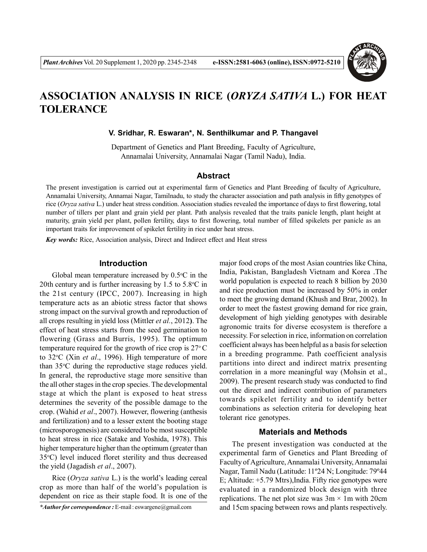

# **ASSOCIATION ANALYSIS IN RICE (***ORYZA SATIVA* **L.) FOR HEAT TOLERANCE**

**V. Sridhar, R. Eswaran\*, N. Senthilkumar and P. Thangavel**

Department of Genetics and Plant Breeding, Faculty of Agriculture, Annamalai University, Annamalai Nagar (Tamil Nadu), India.

#### **Abstract**

The present investigation is carried out at experimental farm of Genetics and Plant Breeding of faculty of Agriculture, Annamalai University, Annamai Nagar, Tamilnadu, to study the character association and path analysis in fifty genotypes of rice (*Oryza sativa* L.) under heat stress condition. Association studies revealed the importance of days to first flowering, total number of tillers per plant and grain yield per plant. Path analysis revealed that the traits panicle length, plant height at maturity, grain yield per plant, pollen fertility, days to first flowering, total number of filled spikelets per panicle as an important traits for improvement of spikelet fertility in rice under heat stress.

*Key words:* Rice, Association analysis, Direct and Indirect effect and Heat stress

#### **Introduction**

Global mean temperature increased by  $0.5^{\circ}$ C in the 20th century and is further increasing by 1.5 to  $5.8^{\circ}$ C in the 21st century (IPCC, 2007). Increasing in high temperature acts as an abiotic stress factor that shows strong impact on the survival growth and reproduction of all crops resulting in yield loss (Mittler *et al.*, 2012**)**. The effect of heat stress starts from the seed germination to flowering (Grass and Burris, 1995). The optimum temperature required for the growth of rice crop is  $27^{\circ}$ C to 32<sup>o</sup>C (Xin *et al.*, 1996). High temperature of more than  $35^{\circ}$ C during the reproductive stage reduces yield. In general, the reproductive stage more sensitive than the all other stages in the crop species. The developmental stage at which the plant is exposed to heat stress determines the severity of the possible damage to the crop. (Wahid *et al*., 2007). However, flowering (anthesis and fertilization) and to a lesser extent the booting stage (microsporogenesis) are considered to be most susceptible to heat stress in rice (Satake and Yoshida, 1978). This higher temperature higher than the optimum (greater than 35<sup>o</sup>C) level induced floret sterility and thus decreased the yield (Jagadish *et al*., 2007).

Rice (*Oryza sativa* L.) is the world's leading cereal crop as more than half of the world's population is dependent on rice as their staple food. It is one of the

*\*Author for correspondence :* E-mail : eswargene@gmail.com

major food crops of the most Asian countries like China, India, Pakistan, Bangladesh Vietnam and Korea .The world population is expected to reach 8 billion by 2030 and rice production must be increased by 50% in order to meet the growing demand (Khush and Brar, 2002). In order to meet the fastest growing demand for rice grain, development of high yielding genotypes with desirable agronomic traits for diverse ecosystem is therefore a necessity. For selection in rice, information on correlation coefficient always has been helpful as a basis for selection in a breeding programme. Path coefficient analysis partitions into direct and indirect matrix presenting correlation in a more meaningful way (Mohsin et al., 2009). The present research study was conducted to find out the direct and indirect contribution of parameters towards spikelet fertility and to identify better combinations as selection criteria for developing heat tolerant rice genotypes.

### **Materials and Methods**

The present investigation was conducted at the experimental farm of Genetics and Plant Breeding of Faculty of Agriculture, Annamalai University, Annamalai Nagar, Tamil Nadu (Latitude: 11º24 N; Longitude: 79º44 E; Altitude: +5.79 Mtrs),India. Fifty rice genotypes were evaluated in a randomized block design with three replications. The net plot size was  $3m \times 1m$  with 20cm and 15cm spacing between rows and plants respectively.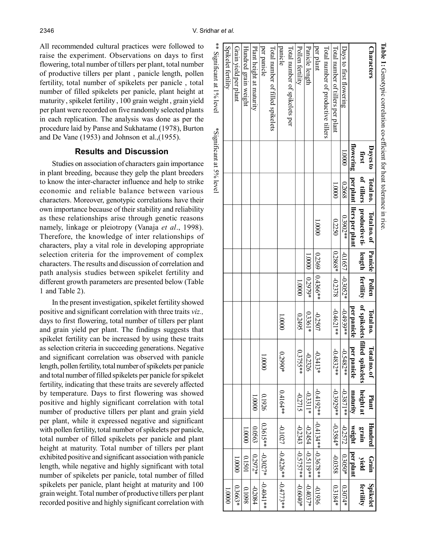All recommended cultural practices were followed to raise the experiment. Observations on days to first flowering, total number of tillers per plant, total number of productive tillers per plant , panicle length, pollen fertility, total number of spikelets per panicle , total number of filled spikelets per panicle, plant height at maturity , spikelet fertility , 100 grain weight , grain yield per plant were recorded on five randomly selected plants in each replication. The analysis was done as per the procedure laid by Panse and Sukhatame (1978), Burton and De Vane (1953) and Johnson et al.,(1955).

## **Results and Discussion**

Studies on association of characters gain importance in plant breeding, because they gelp the plant breeders to know the inter-character influence and help to strike economic and reliable balance between various characters. Moreover, genotypic correlations have their own importance because of their stability and reliability as these relationships arise through genetic reasons namely, linkage or pleiotropy (Vanaja *et al*., 1998). Therefore, the knowledge of inter relationships of characters, play a vital role in developing appropriate selection criteria for the improvement of complex characters. The results and discussion of correlation and path analysis studies between spikelet fertility and different growth parameters are presented below (Table 1 and Table 2).

In the present investigation, spikelet fertility showed positive and significant correlation with three traits *viz.,* days to first flowering, total number of tillers per plant and grain yield per plant. The findings suggests that spikelet fertility can be increased by using these traits as selection criteria in succeeding generations. Negative and significant correlation was observed with panicle length, pollen fertility, total number of spikelets per panicle and total number of filled spikelets per panicle for spikelet fertility, indicating that these traits are severely affected by temperature. Days to first flowering was showed positive and highly significant correlation with total number of productive tillers per plant and grain yield per plant, while it expressed negative and significant with pollen fertility, total number of spikelets per panicle, total number of filled spikelets per panicle and plant height at maturity. Total number of tillers per plant exhibited positive and significant association with panicle length, while negative and highly significant with total number of spikelets per panicle, total number of filled spikelets per panicle, plant height at maturity and 100 grain weight. Total number of productive tillers per plant recorded positive and highly significant correlation with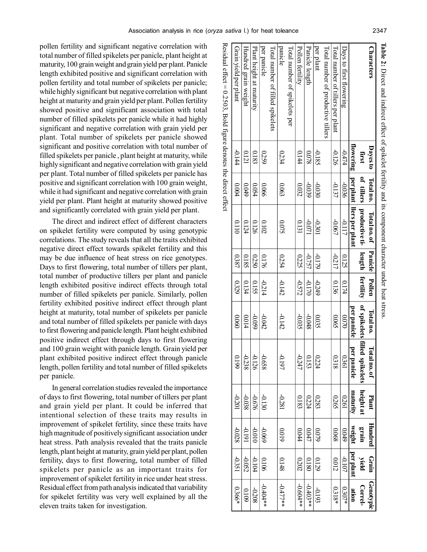| <b>Characters</b>                                               | Dayes to |             | [otal no. [otal no. of Panicle] Pollen |             |                  | Total no.     | Total<br>$\ln 0.0$            | Plant     | <b>Hundred</b> | Grain        | Genotypic     |
|-----------------------------------------------------------------|----------|-------------|----------------------------------------|-------------|------------------|---------------|-------------------------------|-----------|----------------|--------------|---------------|
|                                                                 | first    |             | of tillers productive ti-              |             | length fertility |               | of spikelets filled spikelets | height at | grain          | yield        | Correl-       |
|                                                                 |          |             | flowering per plant   llers per plant  |             |                  | per panicle   | perl<br>panicle               | maturity  | weight         | per plant    | ation         |
| Days to first flowering                                         | 1474     | 980'0-      | -0.117                                 | 0.125       | 0.174            | 0.070         | 0.361                         | 0.261     | 60.049         | $-0110-$     | $0.307*$      |
| Total number of tillers per plant                               | -0.126   | -0.137      | -0.067                                 | 1217        | 0.136            | <b>90.065</b> | 0.318                         | 0.265     | 89000          | 0.012        | 0.318*        |
| Total number of productive tillers                              |          |             |                                        |             |                  |               |                               |           |                |              |               |
| per plant                                                       | -0.185   | 0800-       | 10301                                  | 6/1.0       | -0.249           | 0.035         | 0.224                         | 0.283     | 6200           | 0.129        | 50.193        |
| Panicle length                                                  | 8200     | -0.039      | 1/0.0-                                 | <b>1575</b> | 0/170            | 9.048         | 0.153                         | 0.224     | 0.047          | 0.180        | $-0.403**$    |
| Pollen fertility                                                | 0.144    | 0.032       | 0.131                                  | 0.225       | <b>ZZSO-</b>     | <b>2.035</b>  | -0.247                        | 0.183     | $0.044$        | 0202         | $1 - 0.604**$ |
| Total number of spikelets per                                   |          |             |                                        |             |                  |               |                               |           |                |              |               |
| panicle                                                         | 0234     | <b>600S</b> | 2000                                   | 1254        | $-0.142$         | $-0.142$      | $\overline{\rho}$<br>161      | 1820-     | 6100           | 0.148        | ++17++        |
| Total number of filled spikelets                                |          |             |                                        |             |                  |               |                               |           |                |              |               |
| per panicle                                                     | 0259     | 9900        | 0.102                                  | 0.176       | -0.214           | <b>40.042</b> | 8990-                         | -0.130    | 690'0-         | 9010         | $ -0.404**$   |
| Plant height at maturity                                        | 0.183    | 120.054     | 0.126                                  | 0250        | 2155             | 650°C         | -0.126                        | 9290-     | $010.0 -$      | $1010-$      | -0.208        |
| Hundred grain weight                                            | 0.121    | 6100        | 0.124                                  | 0.185       | 0.134            | 0.014         | -0.238                        | -0.038    | 1610-          | <b>2500-</b> | 6010          |
| Grain yield per plant                                           | -0.144   | 0004        | 01110                                  | 0387        | 0.329            | 0900          | 6610                          | 1020      | -0.028         | -0351        | 0.366*        |
| cosidual effect = 0.2503, Bold figure denotes the direct effect |          |             |                                        |             |                  |               |                               |           |                |              |               |

| l                                                                      |  |
|------------------------------------------------------------------------|--|
|                                                                        |  |
|                                                                        |  |
|                                                                        |  |
| $\frac{1}{2}$                                                          |  |
| ;                                                                      |  |
|                                                                        |  |
|                                                                        |  |
| $\ddot{\cdot}$                                                         |  |
|                                                                        |  |
|                                                                        |  |
|                                                                        |  |
|                                                                        |  |
|                                                                        |  |
|                                                                        |  |
|                                                                        |  |
|                                                                        |  |
| $\ddot{z}$ and $\ddot{z}$ and $\ddot{z}$ and $\ddot{z}$ and $\ddot{z}$ |  |
|                                                                        |  |
|                                                                        |  |
| :                                                                      |  |
|                                                                        |  |
|                                                                        |  |
| $\ddot{\ddot{\phantom{}}\phantom{}}$                                   |  |
|                                                                        |  |
|                                                                        |  |
|                                                                        |  |
|                                                                        |  |
|                                                                        |  |
|                                                                        |  |
|                                                                        |  |
|                                                                        |  |
|                                                                        |  |
|                                                                        |  |
|                                                                        |  |
|                                                                        |  |
| Į                                                                      |  |
|                                                                        |  |
| :<br>(<br>thou<br>J                                                    |  |
|                                                                        |  |

Residual effect =  $0.2503$ , Bold figure denotes the direct effect

highly significant and negative correlation with grain yield per plant. Total number of filled spikelets per panicle has positive and significant correlation with 100 grain weight, while it had significant and negative correlation with grain yield per plant. Plant height at maturity showed positive and significantly correlated with grain yield per plant. The direct and indirect effect of different characters on spikelet fertility were computed by using genotypic correlations. The study reveals that all the traits exhibited negative direct effect towards spikelet fertility and this may be due influence of heat stress on rice genotypes. Days to first flowering, total number of tillers per plant, total number of productive tillers per plant and panicle length exhibited positive indirect effects through total number of filled spikelets per panicle. Similarly, pollen fertility exhibited positive indirect effect through plant height at maturity, total number of spikelets per panicle and total number of filled spikelets per panicle with days to first flowering and panicle length. Plant height exhibited positive indirect effect through days to first flowering and 100 grain weight with panicle length. Grain yield per plant exhibited positive indirect effect through panicle length, pollen fertility and total number of filled spikelets per panicle.

pollen fertility and significant negative correlation with total number of filled spikelets per panicle, plant height at maturity, 100 grain weight and grain yield per plant. Panicle length exhibited positive and significant correlation with pollen fertility and total number of spikelets per panicle; while highly significant but negative correlation with plant height at maturity and grain yield per plant. Pollen fertility showed positive and significant association with total number of filled spikelets per panicle while it had highly significant and negative correlation with grain yield per plant. Total number of spikelets per panicle showed significant and positive correlation with total number of filled spikelets per panicle , plant height at maturity, while

In general correlation studies revealed the importance of days to first flowering, total number of tillers per plant and grain yield per plant. It could be inferred that intentional selection of these traits may results in improvement of spikelet fertility, since these traits have high magnitude of positively significant association under heat stress. Path analysis revealed that the traits panicle length, plant height at maturity, grain yield per plant, pollen fertility, days to first flowering, total number of filled spikelets per panicle as an important traits for improvement of spikelet fertility in rice under heat stress. Residual effect from path analysis indicated that variability for spikelet fertility was very well explained by all the eleven traits taken for investigation.